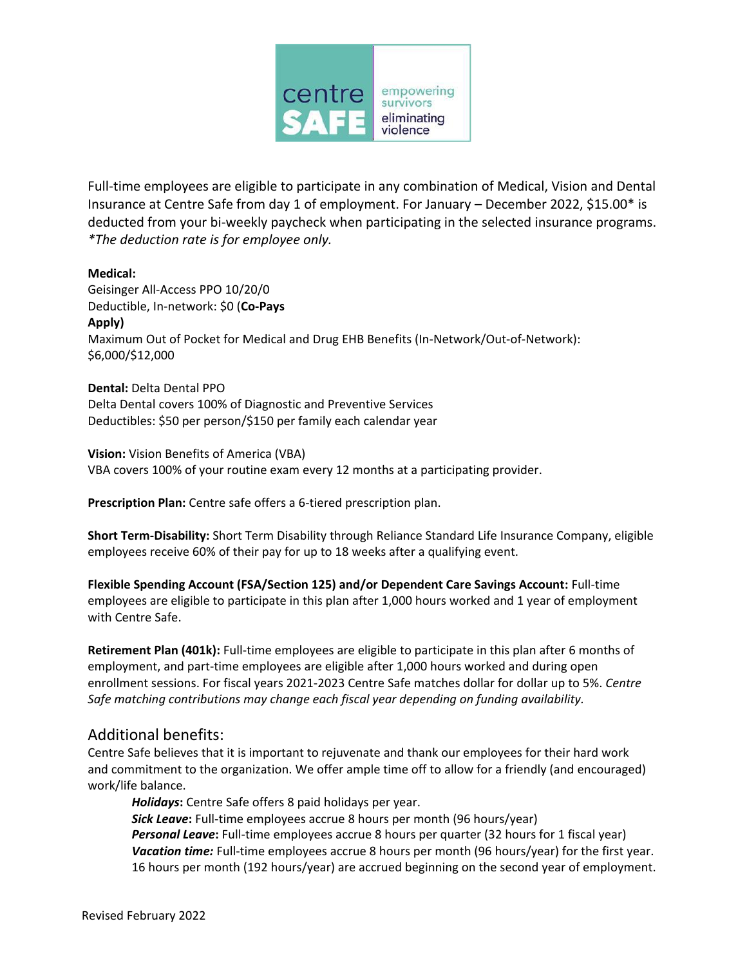

Full-time employees are eligible to participate in any combination of Medical, Vision and Dental Insurance at Centre Safe from day 1 of employment. For January – December 2022, \$15.00\* is deducted from your bi-weekly paycheck when participating in the selected insurance programs. *\*The deduction rate is for employee only.*

## **Medical:**

Geisinger All-Access PPO 10/20/0 Deductible, In-network: \$0 (**Co-Pays Apply)** Maximum Out of Pocket for Medical and Drug EHB Benefits (In-Network/Out-of-Network): \$6,000/\$12,000

**Dental:** Delta Dental PPO Delta Dental covers 100% of Diagnostic and Preventive Services Deductibles: \$50 per person/\$150 per family each calendar year

**Vision:** Vision Benefits of America (VBA) VBA covers 100% of your routine exam every 12 months at a participating provider.

Prescription Plan: Centre safe offers a 6-tiered prescription plan.

**Short Term-Disability:** Short Term Disability through Reliance Standard Life Insurance Company, eligible employees receive 60% of their pay for up to 18 weeks after a qualifying event.

**Flexible Spending Account (FSA/Section 125) and/or Dependent Care Savings Account:** Full-time employees are eligible to participate in this plan after 1,000 hours worked and 1 year of employment with Centre Safe.

**Retirement Plan (401k):** Full-time employees are eligible to participate in this plan after 6 months of employment, and part-time employees are eligible after 1,000 hours worked and during open enrollment sessions. For fiscal years 2021-2023 Centre Safe matches dollar for dollar up to 5%. *Centre Safe matching contributions may change each fiscal year depending on funding availability.*

## Additional benefits:

Centre Safe believes that it is important to rejuvenate and thank our employees for their hard work and commitment to the organization. We offer ample time off to allow for a friendly (and encouraged) work/life balance.

*Holidays***:** Centre Safe offers 8 paid holidays per year. **Sick Leave:** Full-time employees accrue 8 hours per month (96 hours/year) *Personal Leave***:** Full-time employees accrue 8 hours per quarter (32 hours for 1 fiscal year) Vacation time: Full-time employees accrue 8 hours per month (96 hours/year) for the first year. 16 hours per month (192 hours/year) are accrued beginning on the second year of employment.